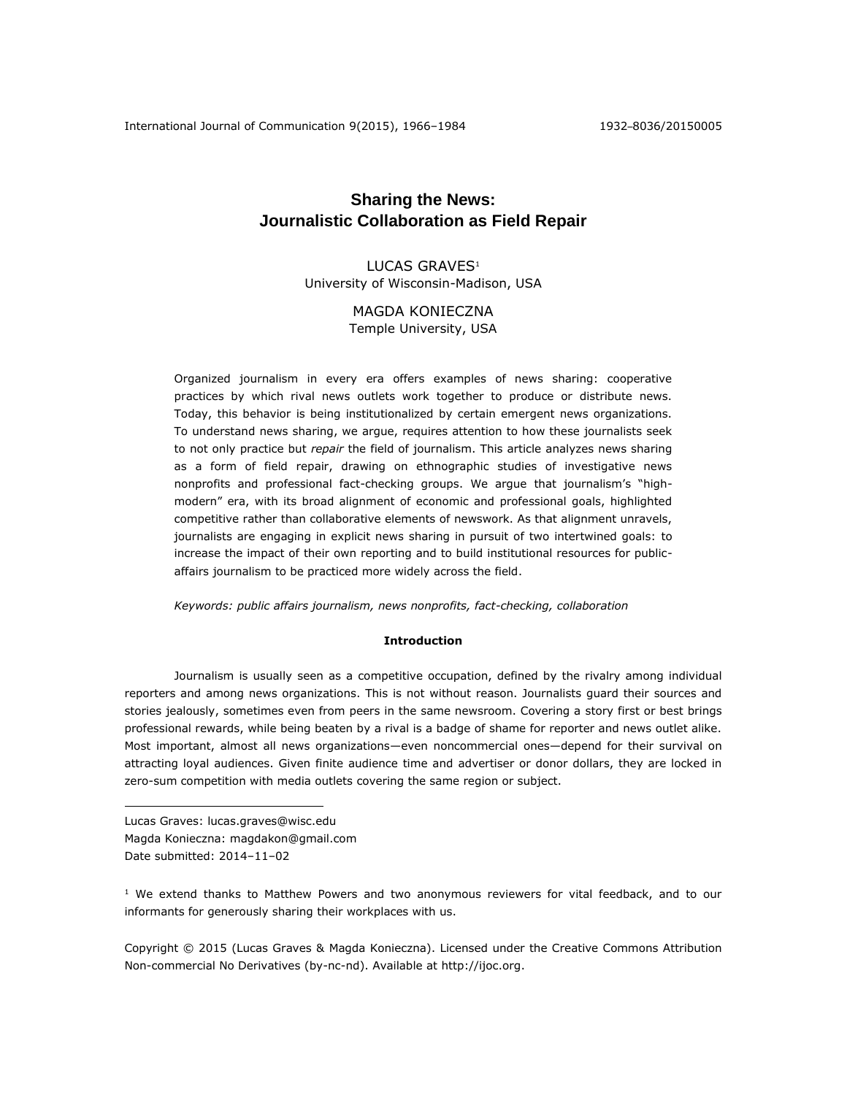# **Sharing the News: Journalistic Collaboration as Field Repair**

LUCAS GRAVES<sup>1</sup> University of Wisconsin-Madison, USA

> MAGDA KONIECZNA Temple University, USA

Organized journalism in every era offers examples of news sharing: cooperative practices by which rival news outlets work together to produce or distribute news. Today, this behavior is being institutionalized by certain emergent news organizations. To understand news sharing, we argue, requires attention to how these journalists seek to not only practice but *repair* the field of journalism. This article analyzes news sharing as a form of field repair, drawing on ethnographic studies of investigative news nonprofits and professional fact-checking groups. We argue that journalism's "highmodern" era, with its broad alignment of economic and professional goals, highlighted competitive rather than collaborative elements of newswork. As that alignment unravels, journalists are engaging in explicit news sharing in pursuit of two intertwined goals: to increase the impact of their own reporting and to build institutional resources for publicaffairs journalism to be practiced more widely across the field.

*Keywords: public affairs journalism, news nonprofits, fact-checking, collaboration*

## **Introduction**

Journalism is usually seen as a competitive occupation, defined by the rivalry among individual reporters and among news organizations. This is not without reason. Journalists guard their sources and stories jealously, sometimes even from peers in the same newsroom. Covering a story first or best brings professional rewards, while being beaten by a rival is a badge of shame for reporter and news outlet alike. Most important, almost all news organizations—even noncommercial ones—depend for their survival on attracting loyal audiences. Given finite audience time and advertiser or donor dollars, they are locked in zero-sum competition with media outlets covering the same region or subject.

Lucas Graves: lucas.graves@wisc.edu Magda Konieczna: magdakon@gmail.com Date submitted: 2014–11–02

 $\overline{a}$ 

<sup>1</sup> We extend thanks to Matthew Powers and two anonymous reviewers for vital feedback, and to our informants for generously sharing their workplaces with us.

Copyright © 2015 (Lucas Graves & Magda Konieczna). Licensed under the Creative Commons Attribution Non-commercial No Derivatives (by-nc-nd). Available at [http://ijoc.org.](http://ijoc.org/)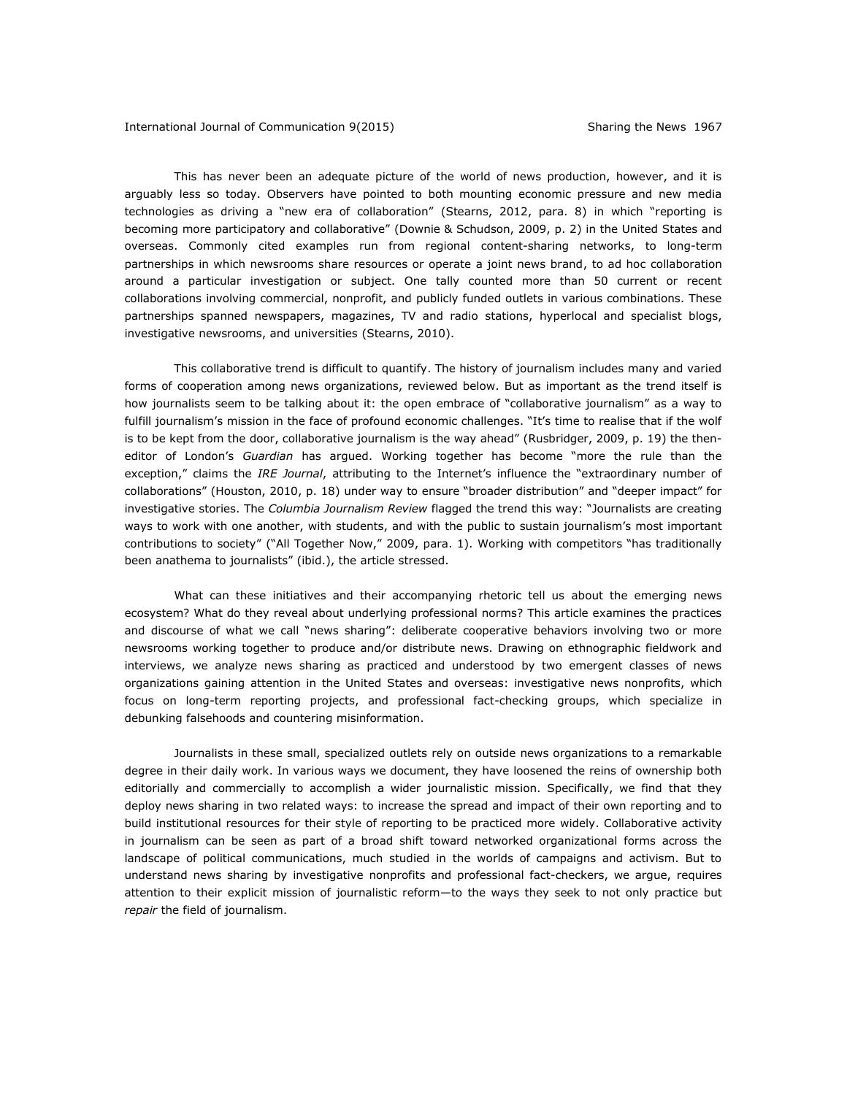This has never been an adequate picture of the world of news production, however, and it is arguably less so today. Observers have pointed to both mounting economic pressure and new media technologies as driving a "new era of collaboration" (Stearns, 2012, para. 8) in which "reporting is becoming more participatory and collaborative" (Downie & Schudson, 2009, p. 2) in the United States and overseas. Commonly cited examples run from regional content-sharing networks, to long-term partnerships in which newsrooms share resources or operate a joint news brand, to ad hoc collaboration around a particular investigation or subject. One tally counted more than 50 current or recent collaborations involving commercial, nonprofit, and publicly funded outlets in various combinations. These partnerships spanned newspapers, magazines, TV and radio stations, hyperlocal and specialist blogs, investigative newsrooms, and universities (Stearns, 2010).

This collaborative trend is difficult to quantify. The history of journalism includes many and varied forms of cooperation among news organizations, reviewed below. But as important as the trend itself is how journalists seem to be talking about it: the open embrace of "collaborative journalism" as a way to fulfill journalism's mission in the face of profound economic challenges. "It's time to realise that if the wolf is to be kept from the door, collaborative journalism is the way ahead" (Rusbridger, 2009, p. 19) the theneditor of London's *Guardian* has argued. Working together has become "more the rule than the exception," claims the *IRE Journal*, attributing to the Internet's influence the "extraordinary number of collaborations" (Houston, 2010, p. 18) under way to ensure "broader distribution" and "deeper impact" for investigative stories. The *Columbia Journalism Review* flagged the trend this way: "Journalists are creating ways to work with one another, with students, and with the public to sustain journalism's most important contributions to society" ("All Together Now," 2009, para. 1). Working with competitors "has traditionally been anathema to journalists" (ibid.), the article stressed.

What can these initiatives and their accompanying rhetoric tell us about the emerging news ecosystem? What do they reveal about underlying professional norms? This article examines the practices and discourse of what we call "news sharing": deliberate cooperative behaviors involving two or more newsrooms working together to produce and/or distribute news. Drawing on ethnographic fieldwork and interviews, we analyze news sharing as practiced and understood by two emergent classes of news organizations gaining attention in the United States and overseas: investigative news nonprofits, which focus on long-term reporting projects, and professional fact-checking groups, which specialize in debunking falsehoods and countering misinformation.

Journalists in these small, specialized outlets rely on outside news organizations to a remarkable degree in their daily work. In various ways we document, they have loosened the reins of ownership both editorially and commercially to accomplish a wider journalistic mission. Specifically, we find that they deploy news sharing in two related ways: to increase the spread and impact of their own reporting and to build institutional resources for their style of reporting to be practiced more widely. Collaborative activity in journalism can be seen as part of a broad shift toward networked organizational forms across the landscape of political communications, much studied in the worlds of campaigns and activism. But to understand news sharing by investigative nonprofits and professional fact-checkers, we argue, requires attention to their explicit mission of journalistic reform—to the ways they seek to not only practice but *repair* the field of journalism.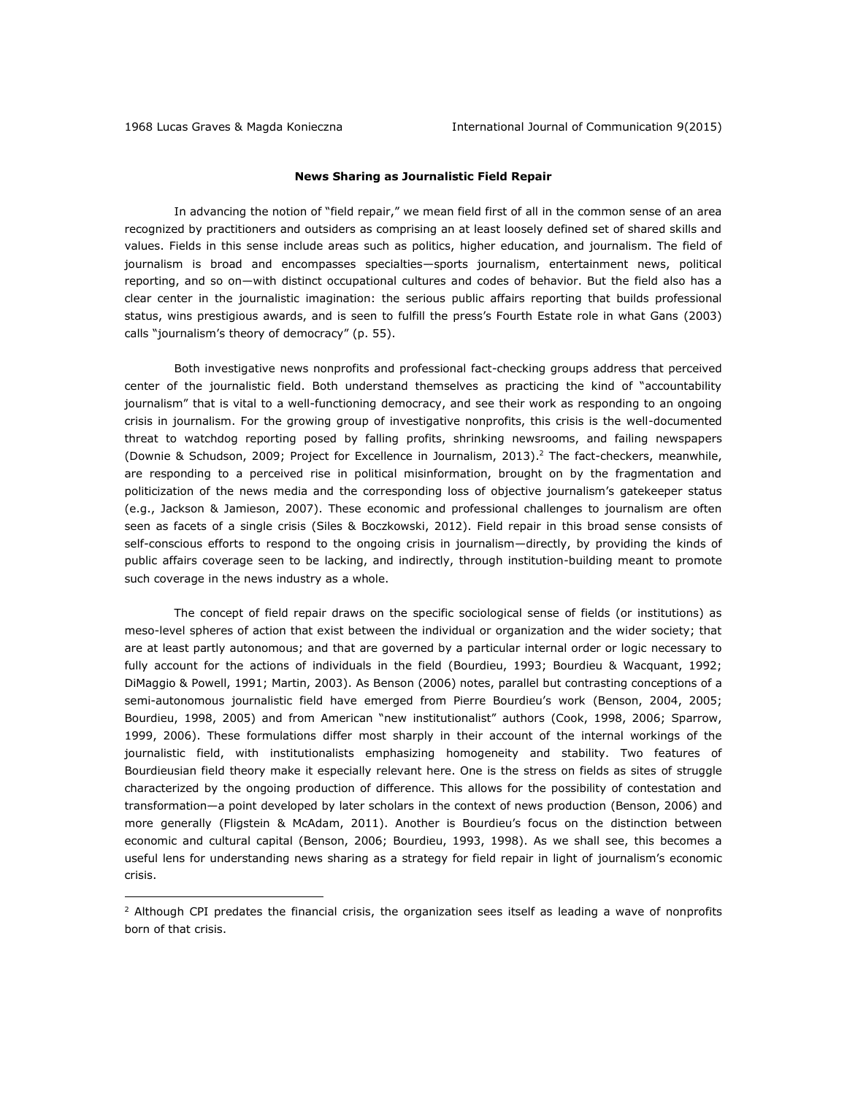$\overline{a}$ 

## **News Sharing as Journalistic Field Repair**

In advancing the notion of "field repair," we mean field first of all in the common sense of an area recognized by practitioners and outsiders as comprising an at least loosely defined set of shared skills and values. Fields in this sense include areas such as politics, higher education, and journalism. The field of journalism is broad and encompasses specialties—sports journalism, entertainment news, political reporting, and so on—with distinct occupational cultures and codes of behavior. But the field also has a clear center in the journalistic imagination: the serious public affairs reporting that builds professional status, wins prestigious awards, and is seen to fulfill the press's Fourth Estate role in what Gans (2003) calls "journalism's theory of democracy" (p. 55).

Both investigative news nonprofits and professional fact-checking groups address that perceived center of the journalistic field. Both understand themselves as practicing the kind of "accountability journalism" that is vital to a well-functioning democracy, and see their work as responding to an ongoing crisis in journalism. For the growing group of investigative nonprofits, this crisis is the well-documented threat to watchdog reporting posed by falling profits, shrinking newsrooms, and failing newspapers (Downie & Schudson, 2009; Project for Excellence in Journalism, 2013). <sup>2</sup> The fact-checkers, meanwhile, are responding to a perceived rise in political misinformation, brought on by the fragmentation and politicization of the news media and the corresponding loss of objective journalism's gatekeeper status (e.g., Jackson & Jamieson, 2007). These economic and professional challenges to journalism are often seen as facets of a single crisis (Siles & Boczkowski, 2012). Field repair in this broad sense consists of self-conscious efforts to respond to the ongoing crisis in journalism—directly, by providing the kinds of public affairs coverage seen to be lacking, and indirectly, through institution-building meant to promote such coverage in the news industry as a whole.

The concept of field repair draws on the specific sociological sense of fields (or institutions) as meso-level spheres of action that exist between the individual or organization and the wider society; that are at least partly autonomous; and that are governed by a particular internal order or logic necessary to fully account for the actions of individuals in the field (Bourdieu, 1993; Bourdieu & Wacquant, 1992; DiMaggio & Powell, 1991; Martin, 2003). As Benson (2006) notes, parallel but contrasting conceptions of a semi-autonomous journalistic field have emerged from Pierre Bourdieu's work (Benson, 2004, 2005; Bourdieu, 1998, 2005) and from American "new institutionalist" authors (Cook, 1998, 2006; Sparrow, 1999, 2006). These formulations differ most sharply in their account of the internal workings of the journalistic field, with institutionalists emphasizing homogeneity and stability. Two features of Bourdieusian field theory make it especially relevant here. One is the stress on fields as sites of struggle characterized by the ongoing production of difference. This allows for the possibility of contestation and transformation—a point developed by later scholars in the context of news production (Benson, 2006) and more generally (Fligstein & McAdam, 2011). Another is Bourdieu's focus on the distinction between economic and cultural capital (Benson, 2006; Bourdieu, 1993, 1998). As we shall see, this becomes a useful lens for understanding news sharing as a strategy for field repair in light of journalism's economic crisis.

 $2$  Although CPI predates the financial crisis, the organization sees itself as leading a wave of nonprofits born of that crisis.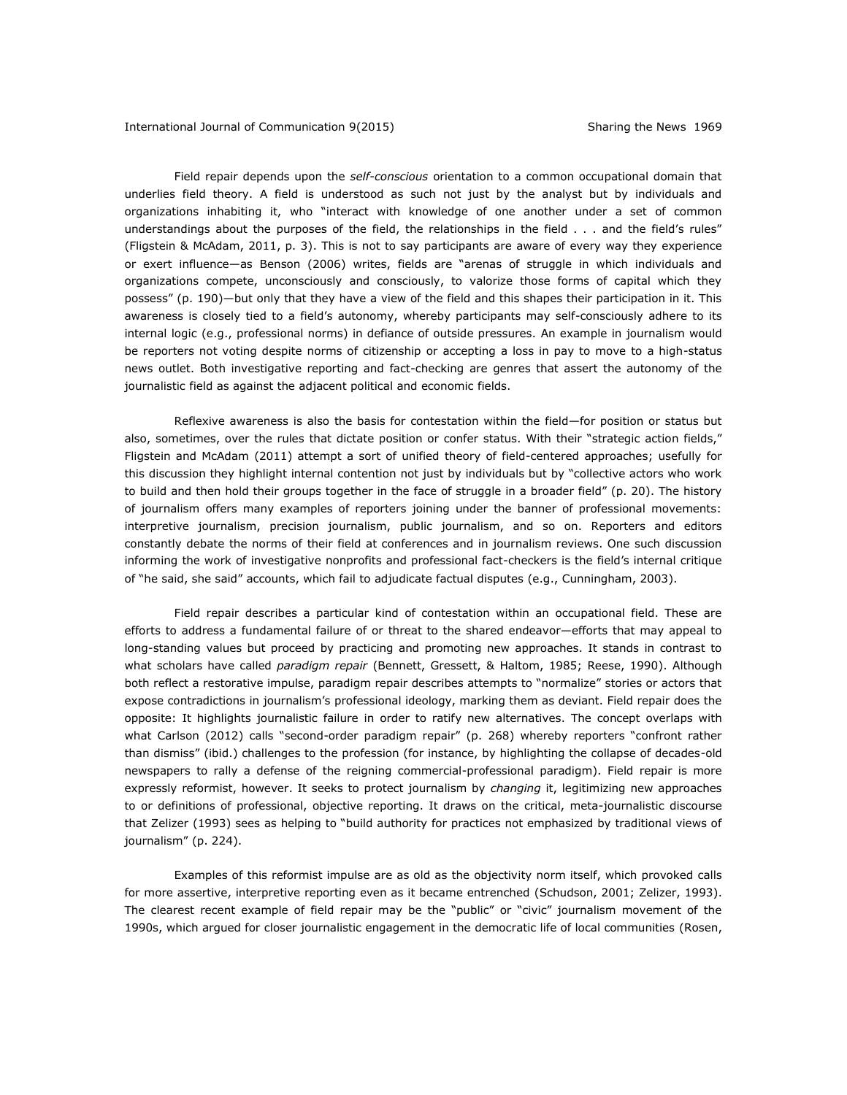Field repair depends upon the *self-conscious* orientation to a common occupational domain that underlies field theory. A field is understood as such not just by the analyst but by individuals and organizations inhabiting it, who "interact with knowledge of one another under a set of common understandings about the purposes of the field, the relationships in the field . . . and the field's rules" (Fligstein & McAdam, 2011, p. 3). This is not to say participants are aware of every way they experience or exert influence—as Benson (2006) writes, fields are "arenas of struggle in which individuals and organizations compete, unconsciously and consciously, to valorize those forms of capital which they possess" (p. 190)—but only that they have a view of the field and this shapes their participation in it. This awareness is closely tied to a field's autonomy, whereby participants may self-consciously adhere to its internal logic (e.g., professional norms) in defiance of outside pressures. An example in journalism would be reporters not voting despite norms of citizenship or accepting a loss in pay to move to a high-status news outlet. Both investigative reporting and fact-checking are genres that assert the autonomy of the journalistic field as against the adjacent political and economic fields.

Reflexive awareness is also the basis for contestation within the field—for position or status but also, sometimes, over the rules that dictate position or confer status. With their "strategic action fields," Fligstein and McAdam (2011) attempt a sort of unified theory of field-centered approaches; usefully for this discussion they highlight internal contention not just by individuals but by "collective actors who work to build and then hold their groups together in the face of struggle in a broader field" (p. 20). The history of journalism offers many examples of reporters joining under the banner of professional movements: interpretive journalism, precision journalism, public journalism, and so on. Reporters and editors constantly debate the norms of their field at conferences and in journalism reviews. One such discussion informing the work of investigative nonprofits and professional fact-checkers is the field's internal critique of "he said, she said" accounts, which fail to adjudicate factual disputes (e.g., Cunningham, 2003).

Field repair describes a particular kind of contestation within an occupational field. These are efforts to address a fundamental failure of or threat to the shared endeavor—efforts that may appeal to long-standing values but proceed by practicing and promoting new approaches. It stands in contrast to what scholars have called *paradigm repair* (Bennett, Gressett, & Haltom, 1985; Reese, 1990). Although both reflect a restorative impulse, paradigm repair describes attempts to "normalize" stories or actors that expose contradictions in journalism's professional ideology, marking them as deviant. Field repair does the opposite: It highlights journalistic failure in order to ratify new alternatives. The concept overlaps with what Carlson (2012) calls "second-order paradigm repair" (p. 268) whereby reporters "confront rather than dismiss" (ibid.) challenges to the profession (for instance, by highlighting the collapse of decades-old newspapers to rally a defense of the reigning commercial-professional paradigm). Field repair is more expressly reformist, however. It seeks to protect journalism by *changing* it, legitimizing new approaches to or definitions of professional, objective reporting. It draws on the critical, meta-journalistic discourse that Zelizer (1993) sees as helping to "build authority for practices not emphasized by traditional views of journalism" (p. 224).

Examples of this reformist impulse are as old as the objectivity norm itself, which provoked calls for more assertive, interpretive reporting even as it became entrenched (Schudson, 2001; Zelizer, 1993). The clearest recent example of field repair may be the "public" or "civic" journalism movement of the 1990s, which argued for closer journalistic engagement in the democratic life of local communities (Rosen,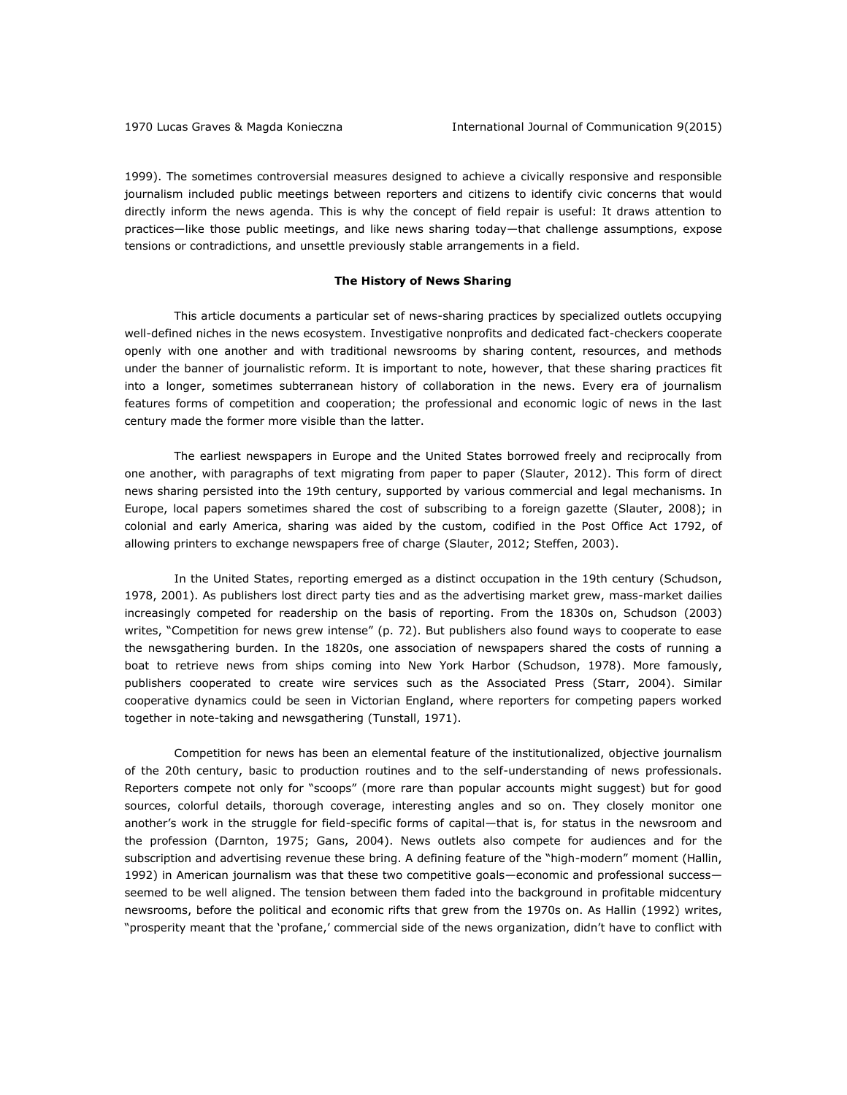1999). The sometimes controversial measures designed to achieve a civically responsive and responsible journalism included public meetings between reporters and citizens to identify civic concerns that would directly inform the news agenda. This is why the concept of field repair is useful: It draws attention to practices—like those public meetings, and like news sharing today—that challenge assumptions, expose tensions or contradictions, and unsettle previously stable arrangements in a field.

## **The History of News Sharing**

This article documents a particular set of news-sharing practices by specialized outlets occupying well-defined niches in the news ecosystem. Investigative nonprofits and dedicated fact-checkers cooperate openly with one another and with traditional newsrooms by sharing content, resources, and methods under the banner of journalistic reform. It is important to note, however, that these sharing practices fit into a longer, sometimes subterranean history of collaboration in the news. Every era of journalism features forms of competition and cooperation; the professional and economic logic of news in the last century made the former more visible than the latter.

The earliest newspapers in Europe and the United States borrowed freely and reciprocally from one another, with paragraphs of text migrating from paper to paper (Slauter, 2012). This form of direct news sharing persisted into the 19th century, supported by various commercial and legal mechanisms. In Europe, local papers sometimes shared the cost of subscribing to a foreign gazette (Slauter, 2008); in colonial and early America, sharing was aided by the custom, codified in the Post Office Act 1792, of allowing printers to exchange newspapers free of charge (Slauter, 2012; Steffen, 2003).

In the United States, reporting emerged as a distinct occupation in the 19th century (Schudson, 1978, 2001). As publishers lost direct party ties and as the advertising market grew, mass-market dailies increasingly competed for readership on the basis of reporting. From the 1830s on, Schudson (2003) writes, "Competition for news grew intense" (p. 72). But publishers also found ways to cooperate to ease the newsgathering burden. In the 1820s, one association of newspapers shared the costs of running a boat to retrieve news from ships coming into New York Harbor (Schudson, 1978). More famously, publishers cooperated to create wire services such as the Associated Press (Starr, 2004). Similar cooperative dynamics could be seen in Victorian England, where reporters for competing papers worked together in note-taking and newsgathering (Tunstall, 1971).

Competition for news has been an elemental feature of the institutionalized, objective journalism of the 20th century, basic to production routines and to the self-understanding of news professionals. Reporters compete not only for "scoops" (more rare than popular accounts might suggest) but for good sources, colorful details, thorough coverage, interesting angles and so on. They closely monitor one another's work in the struggle for field-specific forms of capital—that is, for status in the newsroom and the profession (Darnton, 1975; Gans, 2004). News outlets also compete for audiences and for the subscription and advertising revenue these bring. A defining feature of the "high-modern" moment (Hallin, 1992) in American journalism was that these two competitive goals—economic and professional success seemed to be well aligned. The tension between them faded into the background in profitable midcentury newsrooms, before the political and economic rifts that grew from the 1970s on. As Hallin (1992) writes, "prosperity meant that the 'profane,' commercial side of the news organization, didn't have to conflict with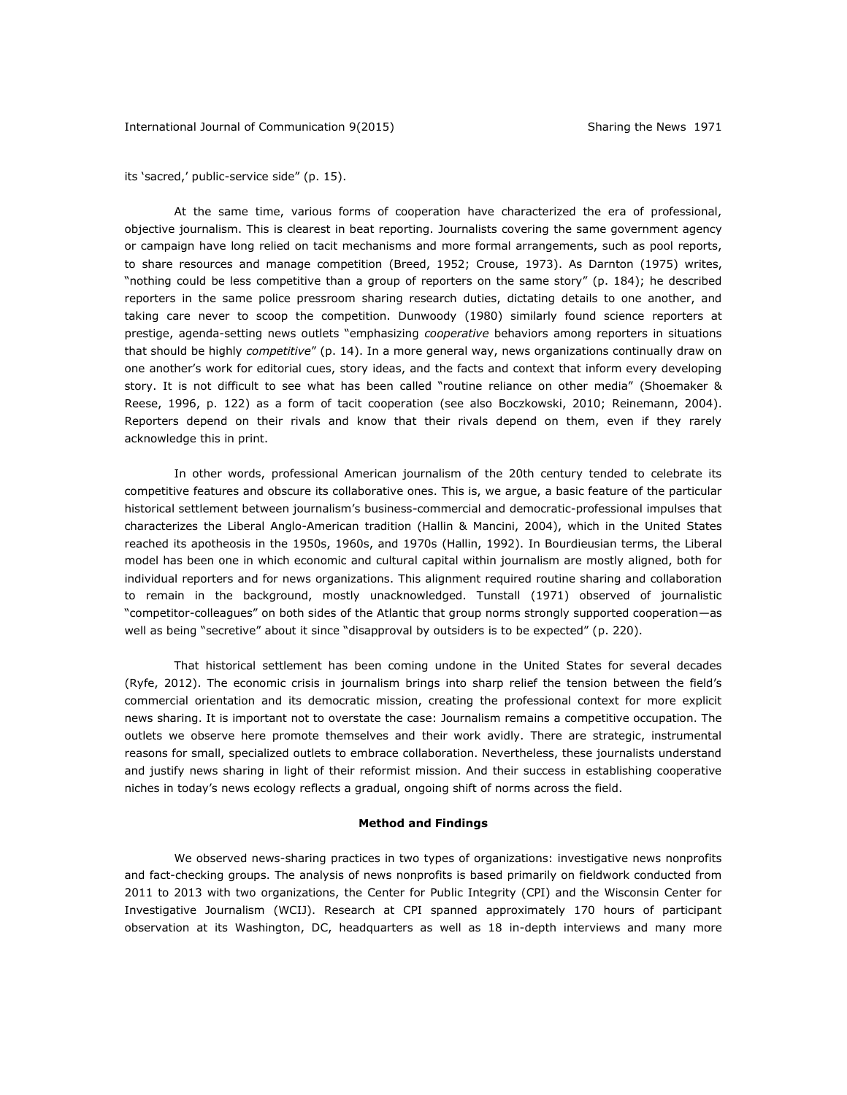its 'sacred,' public-service side" (p. 15).

At the same time, various forms of cooperation have characterized the era of professional, objective journalism. This is clearest in beat reporting. Journalists covering the same government agency or campaign have long relied on tacit mechanisms and more formal arrangements, such as pool reports, to share resources and manage competition (Breed, 1952; Crouse, 1973). As Darnton (1975) writes, "nothing could be less competitive than a group of reporters on the same story" (p. 184); he described reporters in the same police pressroom sharing research duties, dictating details to one another, and taking care never to scoop the competition. Dunwoody (1980) similarly found science reporters at prestige, agenda-setting news outlets "emphasizing *cooperative* behaviors among reporters in situations that should be highly *competitive*" (p. 14). In a more general way, news organizations continually draw on one another's work for editorial cues, story ideas, and the facts and context that inform every developing story. It is not difficult to see what has been called "routine reliance on other media" (Shoemaker & Reese, 1996, p. 122) as a form of tacit cooperation (see also Boczkowski, 2010; Reinemann, 2004). Reporters depend on their rivals and know that their rivals depend on them, even if they rarely acknowledge this in print.

In other words, professional American journalism of the 20th century tended to celebrate its competitive features and obscure its collaborative ones. This is, we argue, a basic feature of the particular historical settlement between journalism's business-commercial and democratic-professional impulses that characterizes the Liberal Anglo-American tradition (Hallin & Mancini, 2004), which in the United States reached its apotheosis in the 1950s, 1960s, and 1970s (Hallin, 1992). In Bourdieusian terms, the Liberal model has been one in which economic and cultural capital within journalism are mostly aligned, both for individual reporters and for news organizations. This alignment required routine sharing and collaboration to remain in the background, mostly unacknowledged. Tunstall (1971) observed of journalistic "competitor-colleagues" on both sides of the Atlantic that group norms strongly supported cooperation—as well as being "secretive" about it since "disapproval by outsiders is to be expected" (p. 220).

That historical settlement has been coming undone in the United States for several decades (Ryfe, 2012). The economic crisis in journalism brings into sharp relief the tension between the field's commercial orientation and its democratic mission, creating the professional context for more explicit news sharing. It is important not to overstate the case: Journalism remains a competitive occupation. The outlets we observe here promote themselves and their work avidly. There are strategic, instrumental reasons for small, specialized outlets to embrace collaboration. Nevertheless, these journalists understand and justify news sharing in light of their reformist mission. And their success in establishing cooperative niches in today's news ecology reflects a gradual, ongoing shift of norms across the field.

#### **Method and Findings**

We observed news-sharing practices in two types of organizations: investigative news nonprofits and fact-checking groups. The analysis of news nonprofits is based primarily on fieldwork conducted from 2011 to 2013 with two organizations, the Center for Public Integrity (CPI) and the Wisconsin Center for Investigative Journalism (WCIJ). Research at CPI spanned approximately 170 hours of participant observation at its Washington, DC, headquarters as well as 18 in-depth interviews and many more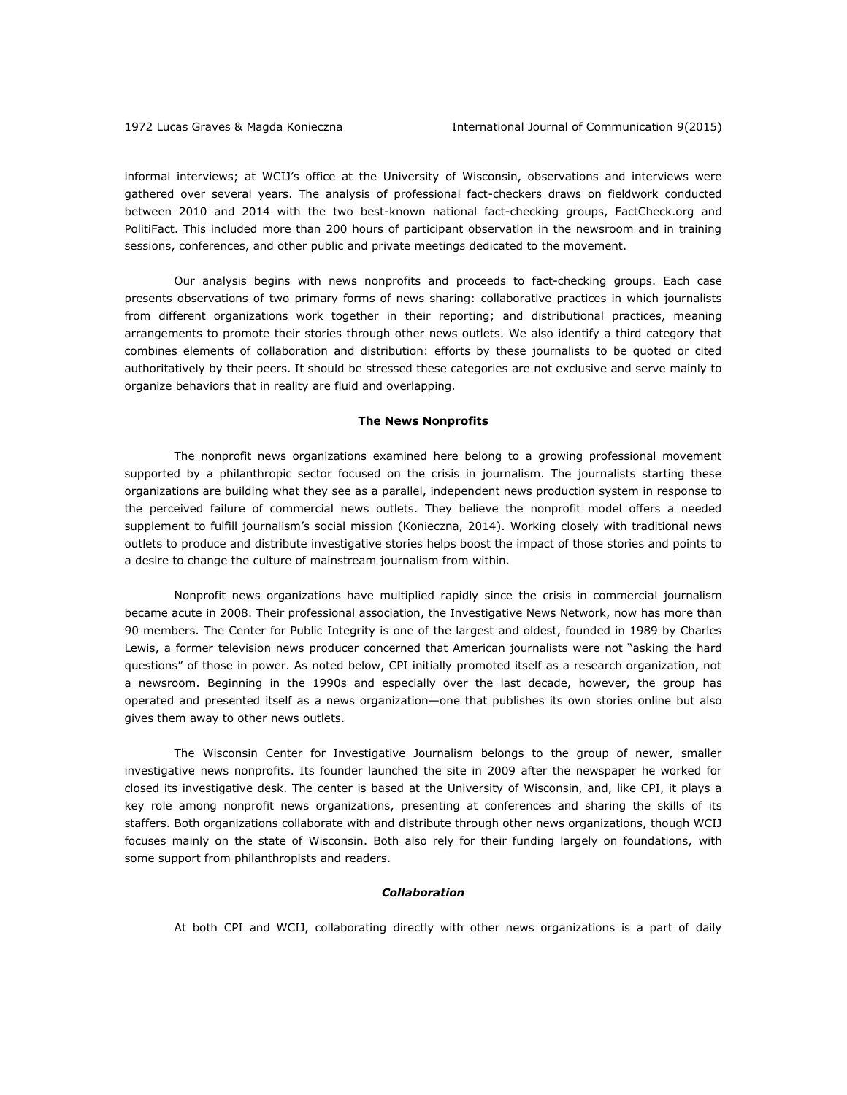informal interviews; at WCIJ's office at the University of Wisconsin, observations and interviews were gathered over several years. The analysis of professional fact-checkers draws on fieldwork conducted between 2010 and 2014 with the two best-known national fact-checking groups, FactCheck.org and PolitiFact. This included more than 200 hours of participant observation in the newsroom and in training sessions, conferences, and other public and private meetings dedicated to the movement.

Our analysis begins with news nonprofits and proceeds to fact-checking groups. Each case presents observations of two primary forms of news sharing: collaborative practices in which journalists from different organizations work together in their reporting; and distributional practices, meaning arrangements to promote their stories through other news outlets. We also identify a third category that combines elements of collaboration and distribution: efforts by these journalists to be quoted or cited authoritatively by their peers. It should be stressed these categories are not exclusive and serve mainly to organize behaviors that in reality are fluid and overlapping.

#### **The News Nonprofits**

The nonprofit news organizations examined here belong to a growing professional movement supported by a philanthropic sector focused on the crisis in journalism. The journalists starting these organizations are building what they see as a parallel, independent news production system in response to the perceived failure of commercial news outlets. They believe the nonprofit model offers a needed supplement to fulfill journalism's social mission (Konieczna, 2014). Working closely with traditional news outlets to produce and distribute investigative stories helps boost the impact of those stories and points to a desire to change the culture of mainstream journalism from within.

Nonprofit news organizations have multiplied rapidly since the crisis in commercial journalism became acute in 2008. Their professional association, the Investigative News Network, now has more than 90 members. The Center for Public Integrity is one of the largest and oldest, founded in 1989 by Charles Lewis, a former television news producer concerned that American journalists were not "asking the hard questions" of those in power. As noted below, CPI initially promoted itself as a research organization, not a newsroom. Beginning in the 1990s and especially over the last decade, however, the group has operated and presented itself as a news organization—one that publishes its own stories online but also gives them away to other news outlets.

The Wisconsin Center for Investigative Journalism belongs to the group of newer, smaller investigative news nonprofits. Its founder launched the site in 2009 after the newspaper he worked for closed its investigative desk. The center is based at the University of Wisconsin, and, like CPI, it plays a key role among nonprofit news organizations, presenting at conferences and sharing the skills of its staffers. Both organizations collaborate with and distribute through other news organizations, though WCIJ focuses mainly on the state of Wisconsin. Both also rely for their funding largely on foundations, with some support from philanthropists and readers.

#### *Collaboration*

At both CPI and WCIJ, collaborating directly with other news organizations is a part of daily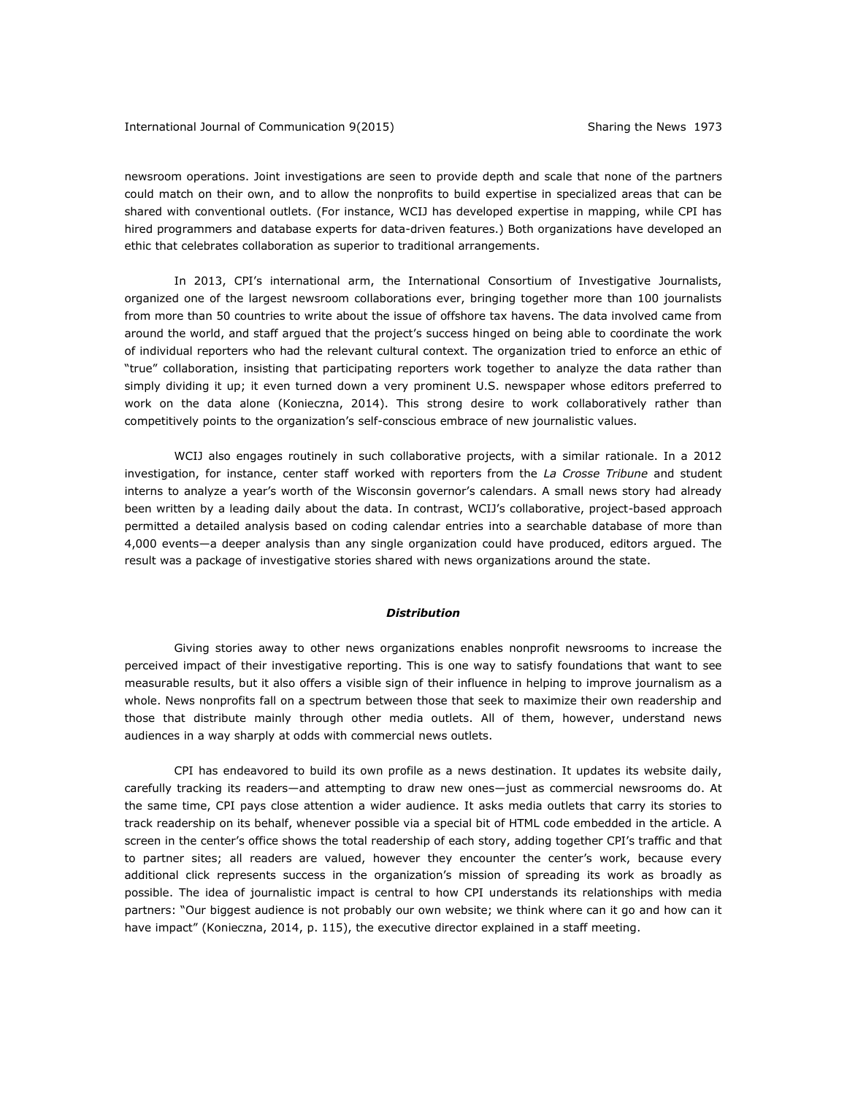newsroom operations. Joint investigations are seen to provide depth and scale that none of the partners could match on their own, and to allow the nonprofits to build expertise in specialized areas that can be shared with conventional outlets. (For instance, WCIJ has developed expertise in mapping, while CPI has hired programmers and database experts for data-driven features.) Both organizations have developed an ethic that celebrates collaboration as superior to traditional arrangements.

In 2013, CPI's international arm, the International Consortium of Investigative Journalists, organized one of the largest newsroom collaborations ever, bringing together more than 100 journalists from more than 50 countries to write about the issue of offshore tax havens. The data involved came from around the world, and staff argued that the project's success hinged on being able to coordinate the work of individual reporters who had the relevant cultural context. The organization tried to enforce an ethic of "true" collaboration, insisting that participating reporters work together to analyze the data rather than simply dividing it up; it even turned down a very prominent U.S. newspaper whose editors preferred to work on the data alone (Konieczna, 2014). This strong desire to work collaboratively rather than competitively points to the organization's self-conscious embrace of new journalistic values.

WCIJ also engages routinely in such collaborative projects, with a similar rationale. In a 2012 investigation, for instance, center staff worked with reporters from the *La Crosse Tribune* and student interns to analyze a year's worth of the Wisconsin governor's calendars. A small news story had already been written by a leading daily about the data. In contrast, WCIJ's collaborative, project-based approach permitted a detailed analysis based on coding calendar entries into a searchable database of more than 4,000 events—a deeper analysis than any single organization could have produced, editors argued. The result was a package of investigative stories shared with news organizations around the state.

#### *Distribution*

Giving stories away to other news organizations enables nonprofit newsrooms to increase the perceived impact of their investigative reporting. This is one way to satisfy foundations that want to see measurable results, but it also offers a visible sign of their influence in helping to improve journalism as a whole. News nonprofits fall on a spectrum between those that seek to maximize their own readership and those that distribute mainly through other media outlets. All of them, however, understand news audiences in a way sharply at odds with commercial news outlets.

CPI has endeavored to build its own profile as a news destination. It updates its website daily, carefully tracking its readers—and attempting to draw new ones—just as commercial newsrooms do. At the same time, CPI pays close attention a wider audience. It asks media outlets that carry its stories to track readership on its behalf, whenever possible via a special bit of HTML code embedded in the article. A screen in the center's office shows the total readership of each story, adding together CPI's traffic and that to partner sites; all readers are valued, however they encounter the center's work, because every additional click represents success in the organization's mission of spreading its work as broadly as possible. The idea of journalistic impact is central to how CPI understands its relationships with media partners: "Our biggest audience is not probably our own website; we think where can it go and how can it have impact" (Konieczna, 2014, p. 115), the executive director explained in a staff meeting.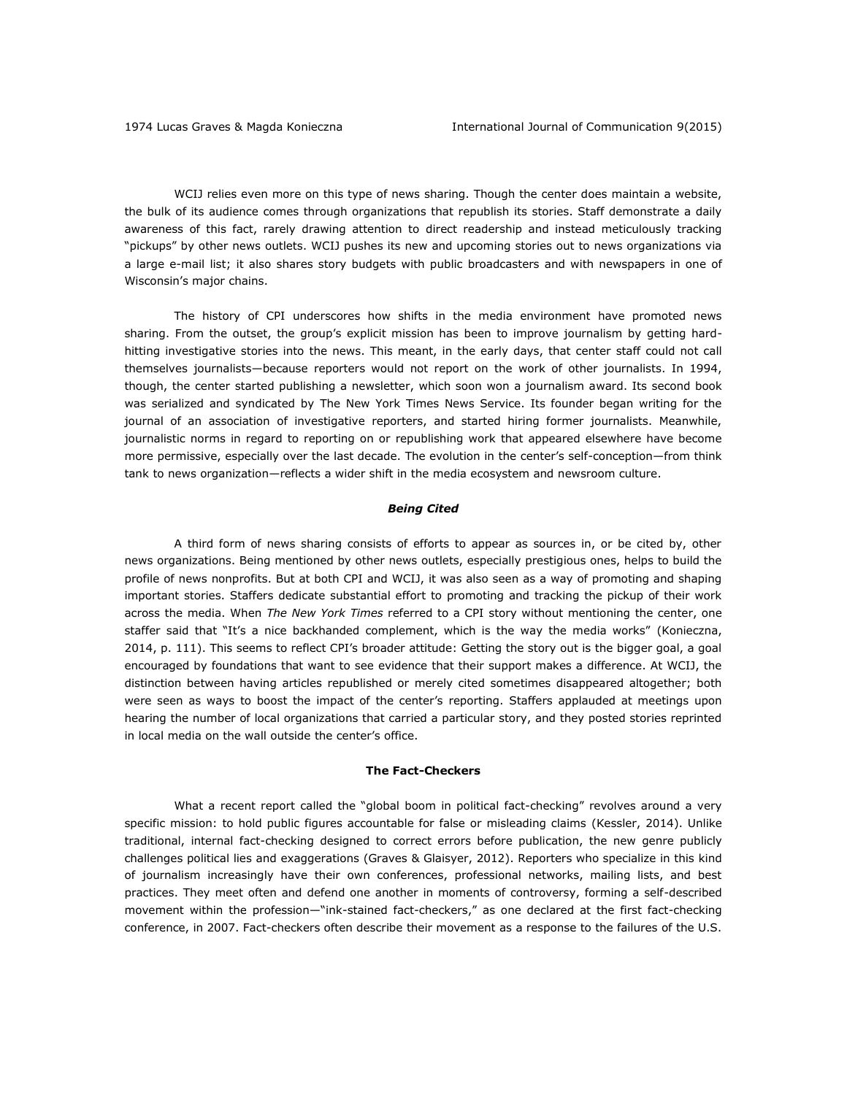WCIJ relies even more on this type of news sharing. Though the center does maintain a website, the bulk of its audience comes through organizations that republish its stories. Staff demonstrate a daily awareness of this fact, rarely drawing attention to direct readership and instead meticulously tracking "pickups" by other news outlets. WCIJ pushes its new and upcoming stories out to news organizations via a large e-mail list; it also shares story budgets with public broadcasters and with newspapers in one of Wisconsin's major chains.

The history of CPI underscores how shifts in the media environment have promoted news sharing. From the outset, the group's explicit mission has been to improve journalism by getting hardhitting investigative stories into the news. This meant, in the early days, that center staff could not call themselves journalists—because reporters would not report on the work of other journalists. In 1994, though, the center started publishing a newsletter, which soon won a journalism award. Its second book was serialized and syndicated by The New York Times News Service. Its founder began writing for the journal of an association of investigative reporters, and started hiring former journalists. Meanwhile, journalistic norms in regard to reporting on or republishing work that appeared elsewhere have become more permissive, especially over the last decade. The evolution in the center's self-conception—from think tank to news organization—reflects a wider shift in the media ecosystem and newsroom culture.

## *Being Cited*

A third form of news sharing consists of efforts to appear as sources in, or be cited by, other news organizations. Being mentioned by other news outlets, especially prestigious ones, helps to build the profile of news nonprofits. But at both CPI and WCIJ, it was also seen as a way of promoting and shaping important stories. Staffers dedicate substantial effort to promoting and tracking the pickup of their work across the media. When *The New York Times* referred to a CPI story without mentioning the center, one staffer said that "It's a nice backhanded complement, which is the way the media works" (Konieczna, 2014, p. 111). This seems to reflect CPI's broader attitude: Getting the story out is the bigger goal, a goal encouraged by foundations that want to see evidence that their support makes a difference. At WCIJ, the distinction between having articles republished or merely cited sometimes disappeared altogether; both were seen as ways to boost the impact of the center's reporting. Staffers applauded at meetings upon hearing the number of local organizations that carried a particular story, and they posted stories reprinted in local media on the wall outside the center's office.

#### **The Fact-Checkers**

What a recent report called the "global boom in political fact-checking" revolves around a very specific mission: to hold public figures accountable for false or misleading claims (Kessler, 2014). Unlike traditional, internal fact-checking designed to correct errors before publication, the new genre publicly challenges political lies and exaggerations (Graves & Glaisyer, 2012). Reporters who specialize in this kind of journalism increasingly have their own conferences, professional networks, mailing lists, and best practices. They meet often and defend one another in moments of controversy, forming a self-described movement within the profession—"ink-stained fact-checkers," as one declared at the first fact-checking conference, in 2007. Fact-checkers often describe their movement as a response to the failures of the U.S.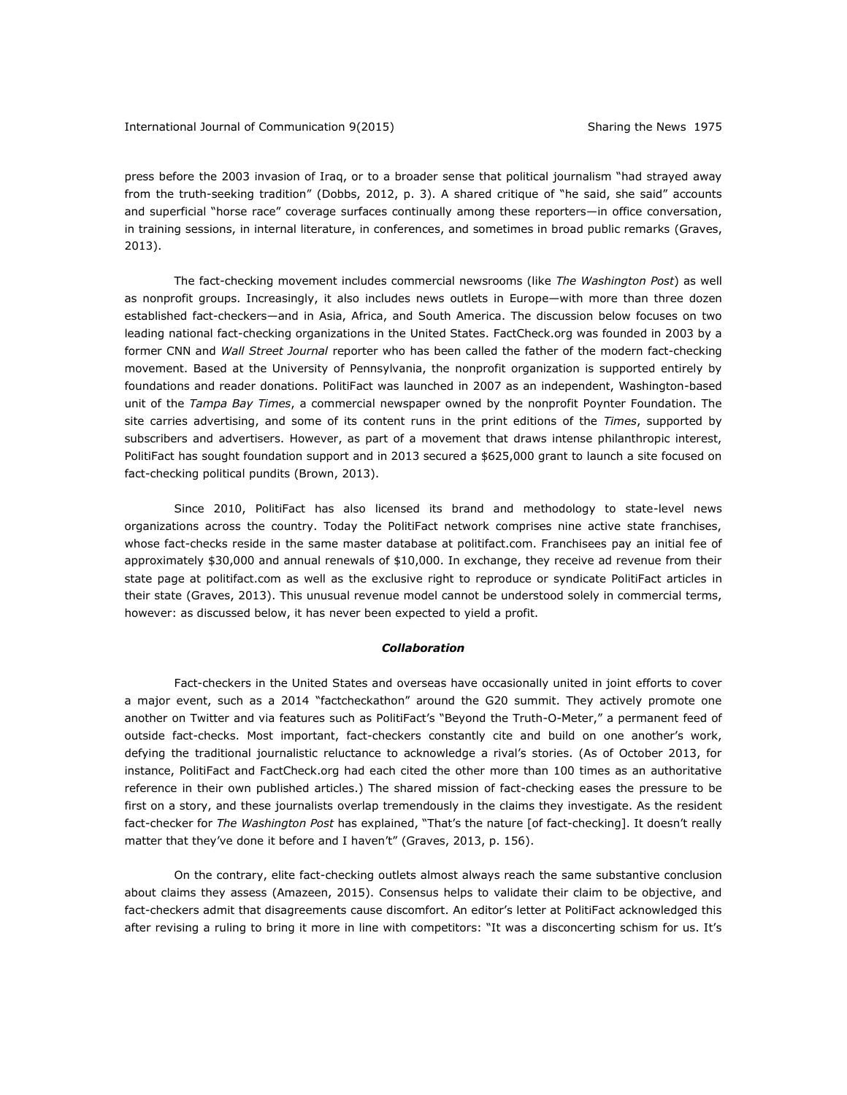press before the 2003 invasion of Iraq, or to a broader sense that political journalism "had strayed away from the truth-seeking tradition" (Dobbs, 2012, p. 3). A shared critique of "he said, she said" accounts and superficial "horse race" coverage surfaces continually among these reporters—in office conversation, in training sessions, in internal literature, in conferences, and sometimes in broad public remarks (Graves, 2013).

The fact-checking movement includes commercial newsrooms (like *The Washington Post*) as well as nonprofit groups. Increasingly, it also includes news outlets in Europe—with more than three dozen established fact-checkers—and in Asia, Africa, and South America. The discussion below focuses on two leading national fact-checking organizations in the United States. FactCheck.org was founded in 2003 by a former CNN and *Wall Street Journal* reporter who has been called the father of the modern fact-checking movement. Based at the University of Pennsylvania, the nonprofit organization is supported entirely by foundations and reader donations. PolitiFact was launched in 2007 as an independent, Washington-based unit of the *Tampa Bay Times*, a commercial newspaper owned by the nonprofit Poynter Foundation. The site carries advertising, and some of its content runs in the print editions of the *Times*, supported by subscribers and advertisers. However, as part of a movement that draws intense philanthropic interest, PolitiFact has sought foundation support and in 2013 secured a \$625,000 grant to launch a site focused on fact-checking political pundits (Brown, 2013).

Since 2010, PolitiFact has also licensed its brand and methodology to state-level news organizations across the country. Today the PolitiFact network comprises nine active state franchises, whose fact-checks reside in the same master database at politifact.com. Franchisees pay an initial fee of approximately \$30,000 and annual renewals of \$10,000. In exchange, they receive ad revenue from their state page at politifact.com as well as the exclusive right to reproduce or syndicate PolitiFact articles in their state (Graves, 2013). This unusual revenue model cannot be understood solely in commercial terms, however: as discussed below, it has never been expected to yield a profit.

## *Collaboration*

Fact-checkers in the United States and overseas have occasionally united in joint efforts to cover a major event, such as a 2014 "factcheckathon" around the G20 summit. They actively promote one another on Twitter and via features such as PolitiFact's "Beyond the Truth-O-Meter," a permanent feed of outside fact-checks. Most important, fact-checkers constantly cite and build on one another's work, defying the traditional journalistic reluctance to acknowledge a rival's stories. (As of October 2013, for instance, PolitiFact and FactCheck.org had each cited the other more than 100 times as an authoritative reference in their own published articles.) The shared mission of fact-checking eases the pressure to be first on a story, and these journalists overlap tremendously in the claims they investigate. As the resident fact-checker for *The Washington Post* has explained, "That's the nature [of fact-checking]. It doesn't really matter that they've done it before and I haven't" (Graves, 2013, p. 156).

On the contrary, elite fact-checking outlets almost always reach the same substantive conclusion about claims they assess (Amazeen, 2015). Consensus helps to validate their claim to be objective, and fact-checkers admit that disagreements cause discomfort. An editor's letter at PolitiFact acknowledged this after revising a ruling to bring it more in line with competitors: "It was a disconcerting schism for us. It's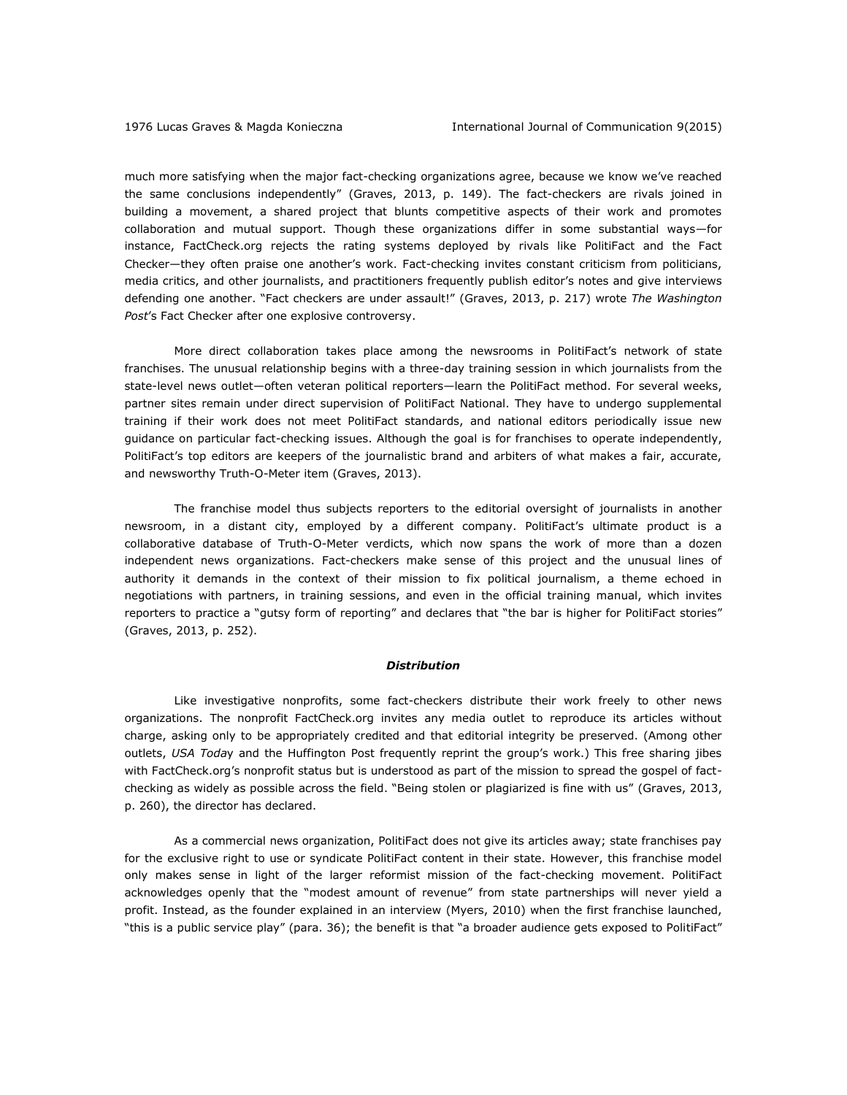much more satisfying when the major fact-checking organizations agree, because we know we've reached the same conclusions independently" (Graves, 2013, p. 149). The fact-checkers are rivals joined in building a movement, a shared project that blunts competitive aspects of their work and promotes collaboration and mutual support. Though these organizations differ in some substantial ways—for instance, FactCheck.org rejects the rating systems deployed by rivals like PolitiFact and the Fact Checker—they often praise one another's work. Fact-checking invites constant criticism from politicians, media critics, and other journalists, and practitioners frequently publish editor's notes and give interviews defending one another. "Fact checkers are under assault!" (Graves, 2013, p. 217) wrote *The Washington Post*'s Fact Checker after one explosive controversy.

More direct collaboration takes place among the newsrooms in PolitiFact's network of state franchises. The unusual relationship begins with a three-day training session in which journalists from the state-level news outlet—often veteran political reporters—learn the PolitiFact method. For several weeks, partner sites remain under direct supervision of PolitiFact National. They have to undergo supplemental training if their work does not meet PolitiFact standards, and national editors periodically issue new guidance on particular fact-checking issues. Although the goal is for franchises to operate independently, PolitiFact's top editors are keepers of the journalistic brand and arbiters of what makes a fair, accurate, and newsworthy Truth-O-Meter item (Graves, 2013).

The franchise model thus subjects reporters to the editorial oversight of journalists in another newsroom, in a distant city, employed by a different company. PolitiFact's ultimate product is a collaborative database of Truth-O-Meter verdicts, which now spans the work of more than a dozen independent news organizations. Fact-checkers make sense of this project and the unusual lines of authority it demands in the context of their mission to fix political journalism, a theme echoed in negotiations with partners, in training sessions, and even in the official training manual, which invites reporters to practice a "gutsy form of reporting" and declares that "the bar is higher for PolitiFact stories" (Graves, 2013, p. 252).

## *Distribution*

Like investigative nonprofits, some fact-checkers distribute their work freely to other news organizations. The nonprofit FactCheck.org invites any media outlet to reproduce its articles without charge, asking only to be appropriately credited and that editorial integrity be preserved. (Among other outlets, *USA Toda*y and the Huffington Post frequently reprint the group's work.) This free sharing jibes with FactCheck.org's nonprofit status but is understood as part of the mission to spread the gospel of factchecking as widely as possible across the field. "Being stolen or plagiarized is fine with us" (Graves, 2013, p. 260), the director has declared.

As a commercial news organization, PolitiFact does not give its articles away; state franchises pay for the exclusive right to use or syndicate PolitiFact content in their state. However, this franchise model only makes sense in light of the larger reformist mission of the fact-checking movement. PolitiFact acknowledges openly that the "modest amount of revenue" from state partnerships will never yield a profit. Instead, as the founder explained in an interview (Myers, 2010) when the first franchise launched, "this is a public service play" (para. 36); the benefit is that "a broader audience gets exposed to PolitiFact"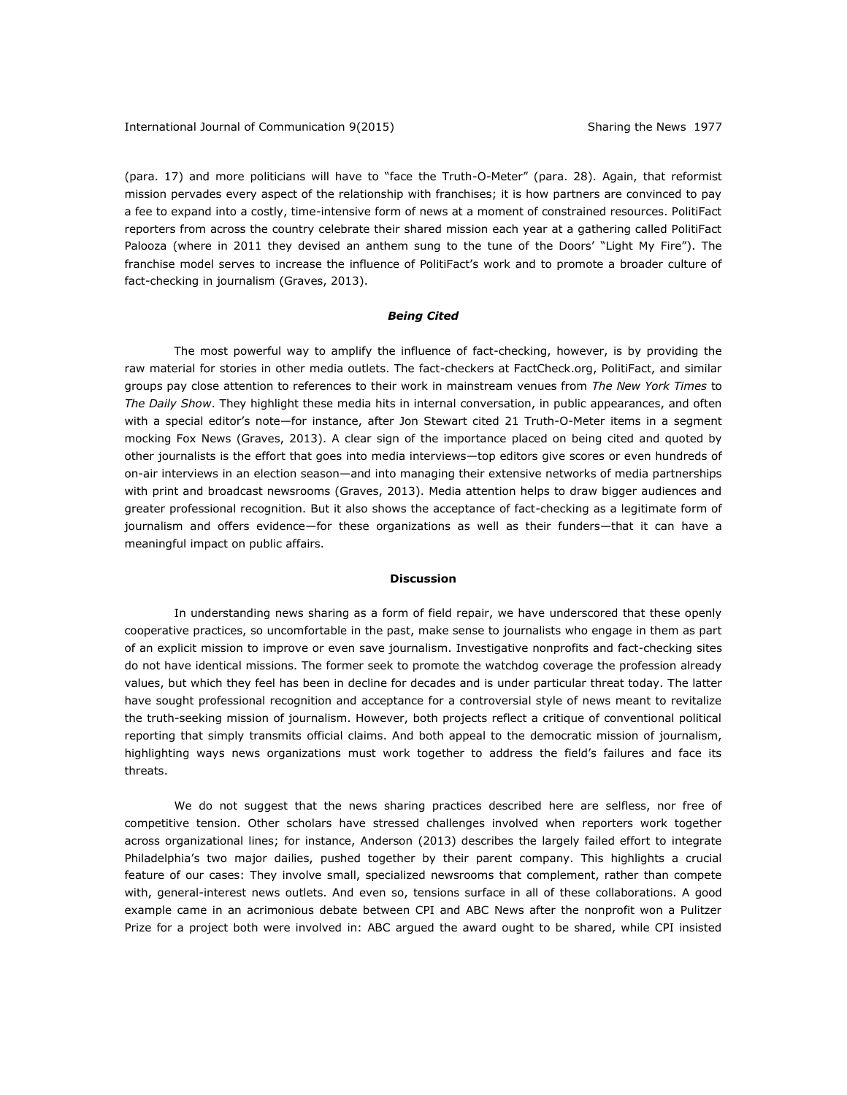(para. 17) and more politicians will have to "face the Truth-O-Meter" (para. 28). Again, that reformist mission pervades every aspect of the relationship with franchises; it is how partners are convinced to pay a fee to expand into a costly, time-intensive form of news at a moment of constrained resources. PolitiFact reporters from across the country celebrate their shared mission each year at a gathering called PolitiFact Palooza (where in 2011 they devised an anthem sung to the tune of the Doors' "Light My Fire"). The franchise model serves to increase the influence of PolitiFact's work and to promote a broader culture of fact-checking in journalism (Graves, 2013).

### *Being Cited*

The most powerful way to amplify the influence of fact-checking, however, is by providing the raw material for stories in other media outlets. The fact-checkers at FactCheck.org, PolitiFact, and similar groups pay close attention to references to their work in mainstream venues from *The New York Times* to *The Daily Show*. They highlight these media hits in internal conversation, in public appearances, and often with a special editor's note—for instance, after Jon Stewart cited 21 Truth-O-Meter items in a segment mocking Fox News (Graves, 2013). A clear sign of the importance placed on being cited and quoted by other journalists is the effort that goes into media interviews—top editors give scores or even hundreds of on-air interviews in an election season—and into managing their extensive networks of media partnerships with print and broadcast newsrooms (Graves, 2013). Media attention helps to draw bigger audiences and greater professional recognition. But it also shows the acceptance of fact-checking as a legitimate form of journalism and offers evidence—for these organizations as well as their funders—that it can have a meaningful impact on public affairs.

#### **Discussion**

In understanding news sharing as a form of field repair, we have underscored that these openly cooperative practices, so uncomfortable in the past, make sense to journalists who engage in them as part of an explicit mission to improve or even save journalism. Investigative nonprofits and fact-checking sites do not have identical missions. The former seek to promote the watchdog coverage the profession already values, but which they feel has been in decline for decades and is under particular threat today. The latter have sought professional recognition and acceptance for a controversial style of news meant to revitalize the truth-seeking mission of journalism. However, both projects reflect a critique of conventional political reporting that simply transmits official claims. And both appeal to the democratic mission of journalism, highlighting ways news organizations must work together to address the field's failures and face its threats.

We do not suggest that the news sharing practices described here are selfless, nor free of competitive tension. Other scholars have stressed challenges involved when reporters work together across organizational lines; for instance, Anderson (2013) describes the largely failed effort to integrate Philadelphia's two major dailies, pushed together by their parent company. This highlights a crucial feature of our cases: They involve small, specialized newsrooms that complement, rather than compete with, general-interest news outlets. And even so, tensions surface in all of these collaborations. A good example came in an acrimonious debate between CPI and ABC News after the nonprofit won a Pulitzer Prize for a project both were involved in: ABC argued the award ought to be shared, while CPI insisted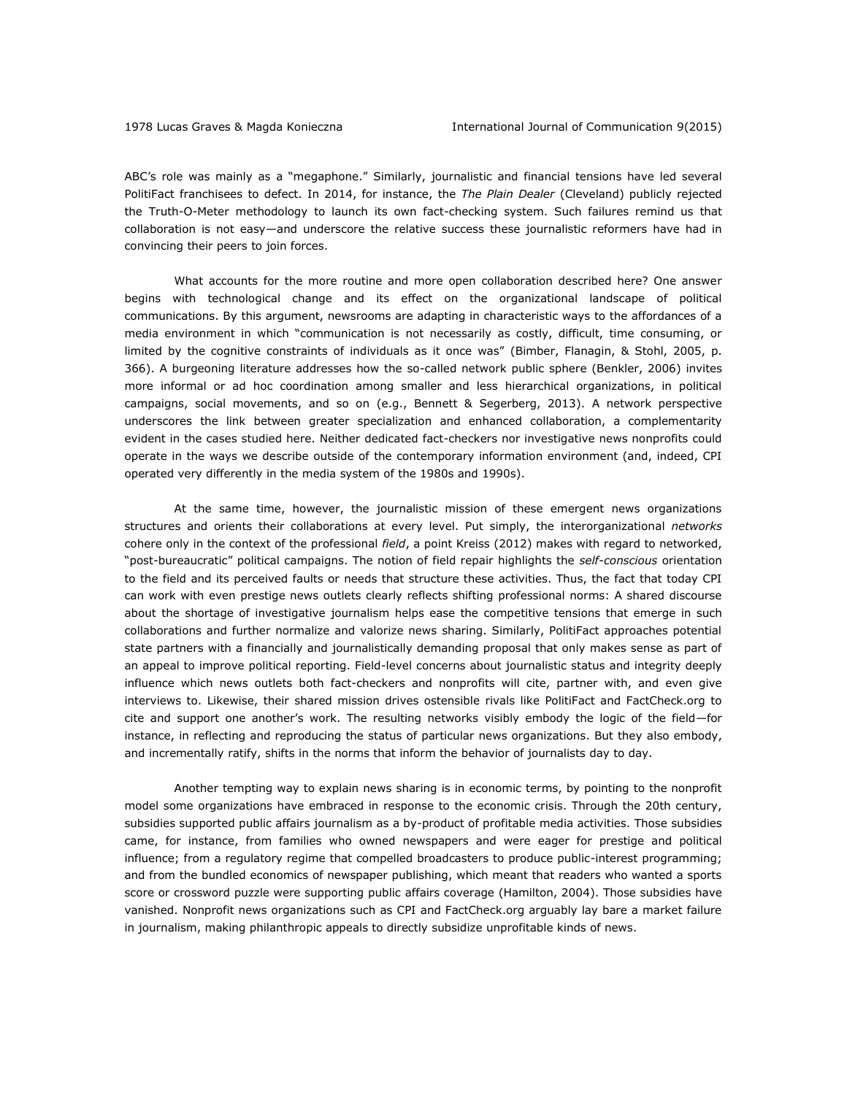ABC's role was mainly as a "megaphone." Similarly, journalistic and financial tensions have led several PolitiFact franchisees to defect. In 2014, for instance, the *The Plain Dealer* (Cleveland) publicly rejected the Truth-O-Meter methodology to launch its own fact-checking system. Such failures remind us that collaboration is not easy—and underscore the relative success these journalistic reformers have had in convincing their peers to join forces.

What accounts for the more routine and more open collaboration described here? One answer begins with technological change and its effect on the organizational landscape of political communications. By this argument, newsrooms are adapting in characteristic ways to the affordances of a media environment in which "communication is not necessarily as costly, difficult, time consuming, or limited by the cognitive constraints of individuals as it once was" (Bimber, Flanagin, & Stohl, 2005, p. 366). A burgeoning literature addresses how the so-called network public sphere (Benkler, 2006) invites more informal or ad hoc coordination among smaller and less hierarchical organizations, in political campaigns, social movements, and so on (e.g., Bennett & Segerberg, 2013). A network perspective underscores the link between greater specialization and enhanced collaboration, a complementarity evident in the cases studied here. Neither dedicated fact-checkers nor investigative news nonprofits could operate in the ways we describe outside of the contemporary information environment (and, indeed, CPI operated very differently in the media system of the 1980s and 1990s).

At the same time, however, the journalistic mission of these emergent news organizations structures and orients their collaborations at every level. Put simply, the interorganizational *networks* cohere only in the context of the professional *field*, a point Kreiss (2012) makes with regard to networked, "post-bureaucratic" political campaigns. The notion of field repair highlights the *self-conscious* orientation to the field and its perceived faults or needs that structure these activities. Thus, the fact that today CPI can work with even prestige news outlets clearly reflects shifting professional norms: A shared discourse about the shortage of investigative journalism helps ease the competitive tensions that emerge in such collaborations and further normalize and valorize news sharing. Similarly, PolitiFact approaches potential state partners with a financially and journalistically demanding proposal that only makes sense as part of an appeal to improve political reporting. Field-level concerns about journalistic status and integrity deeply influence which news outlets both fact-checkers and nonprofits will cite, partner with, and even give interviews to. Likewise, their shared mission drives ostensible rivals like PolitiFact and FactCheck.org to cite and support one another's work. The resulting networks visibly embody the logic of the field—for instance, in reflecting and reproducing the status of particular news organizations. But they also embody, and incrementally ratify, shifts in the norms that inform the behavior of journalists day to day.

Another tempting way to explain news sharing is in economic terms, by pointing to the nonprofit model some organizations have embraced in response to the economic crisis. Through the 20th century, subsidies supported public affairs journalism as a by-product of profitable media activities. Those subsidies came, for instance, from families who owned newspapers and were eager for prestige and political influence; from a regulatory regime that compelled broadcasters to produce public-interest programming; and from the bundled economics of newspaper publishing, which meant that readers who wanted a sports score or crossword puzzle were supporting public affairs coverage (Hamilton, 2004). Those subsidies have vanished. Nonprofit news organizations such as CPI and FactCheck.org arguably lay bare a market failure in journalism, making philanthropic appeals to directly subsidize unprofitable kinds of news.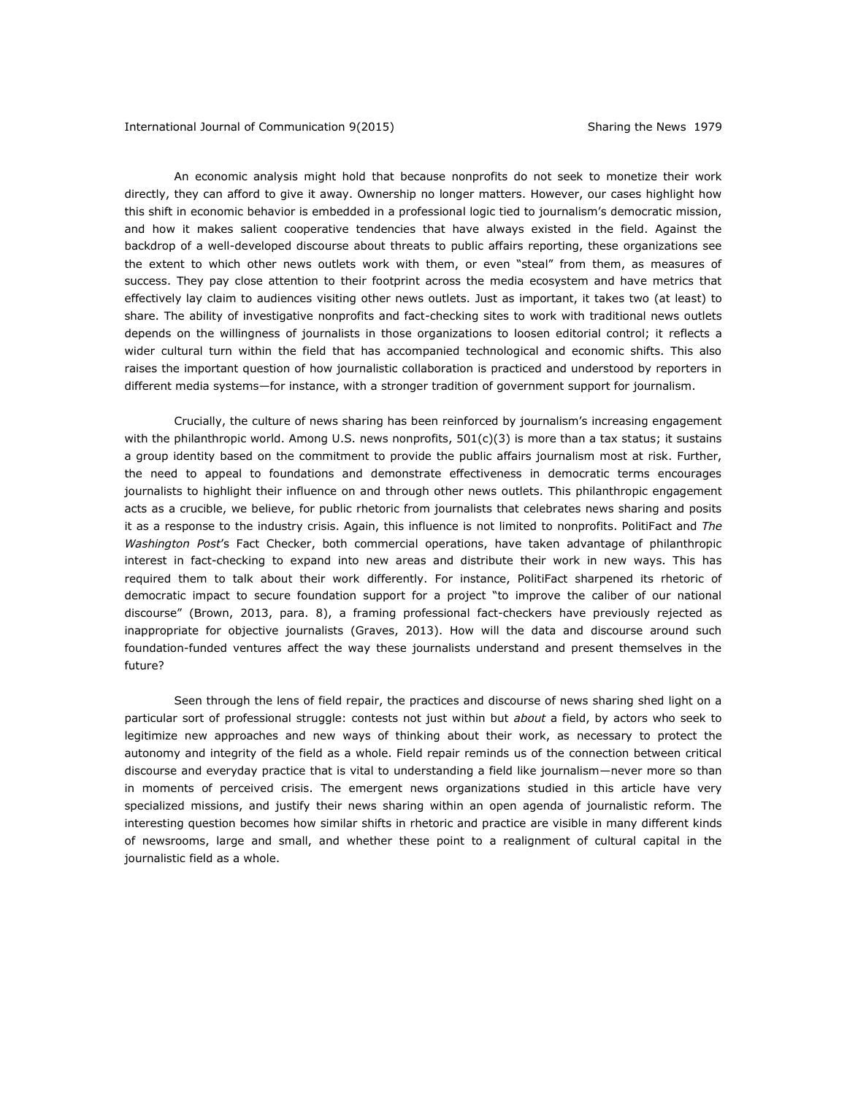An economic analysis might hold that because nonprofits do not seek to monetize their work directly, they can afford to give it away. Ownership no longer matters. However, our cases highlight how this shift in economic behavior is embedded in a professional logic tied to journalism's democratic mission, and how it makes salient cooperative tendencies that have always existed in the field. Against the backdrop of a well-developed discourse about threats to public affairs reporting, these organizations see the extent to which other news outlets work with them, or even "steal" from them, as measures of success. They pay close attention to their footprint across the media ecosystem and have metrics that effectively lay claim to audiences visiting other news outlets. Just as important, it takes two (at least) to share. The ability of investigative nonprofits and fact-checking sites to work with traditional news outlets depends on the willingness of journalists in those organizations to loosen editorial control; it reflects a wider cultural turn within the field that has accompanied technological and economic shifts. This also raises the important question of how journalistic collaboration is practiced and understood by reporters in different media systems—for instance, with a stronger tradition of government support for journalism.

Crucially, the culture of news sharing has been reinforced by journalism's increasing engagement with the philanthropic world. Among U.S. news nonprofits,  $501(c)(3)$  is more than a tax status; it sustains a group identity based on the commitment to provide the public affairs journalism most at risk. Further, the need to appeal to foundations and demonstrate effectiveness in democratic terms encourages journalists to highlight their influence on and through other news outlets. This philanthropic engagement acts as a crucible, we believe, for public rhetoric from journalists that celebrates news sharing and posits it as a response to the industry crisis. Again, this influence is not limited to nonprofits. PolitiFact and *The Washington Post*'s Fact Checker, both commercial operations, have taken advantage of philanthropic interest in fact-checking to expand into new areas and distribute their work in new ways. This has required them to talk about their work differently. For instance, PolitiFact sharpened its rhetoric of democratic impact to secure foundation support for a project "to improve the caliber of our national discourse" (Brown, 2013, para. 8), a framing professional fact-checkers have previously rejected as inappropriate for objective journalists (Graves, 2013). How will the data and discourse around such foundation-funded ventures affect the way these journalists understand and present themselves in the future?

Seen through the lens of field repair, the practices and discourse of news sharing shed light on a particular sort of professional struggle: contests not just within but *about* a field, by actors who seek to legitimize new approaches and new ways of thinking about their work, as necessary to protect the autonomy and integrity of the field as a whole. Field repair reminds us of the connection between critical discourse and everyday practice that is vital to understanding a field like journalism—never more so than in moments of perceived crisis. The emergent news organizations studied in this article have very specialized missions, and justify their news sharing within an open agenda of journalistic reform. The interesting question becomes how similar shifts in rhetoric and practice are visible in many different kinds of newsrooms, large and small, and whether these point to a realignment of cultural capital in the journalistic field as a whole.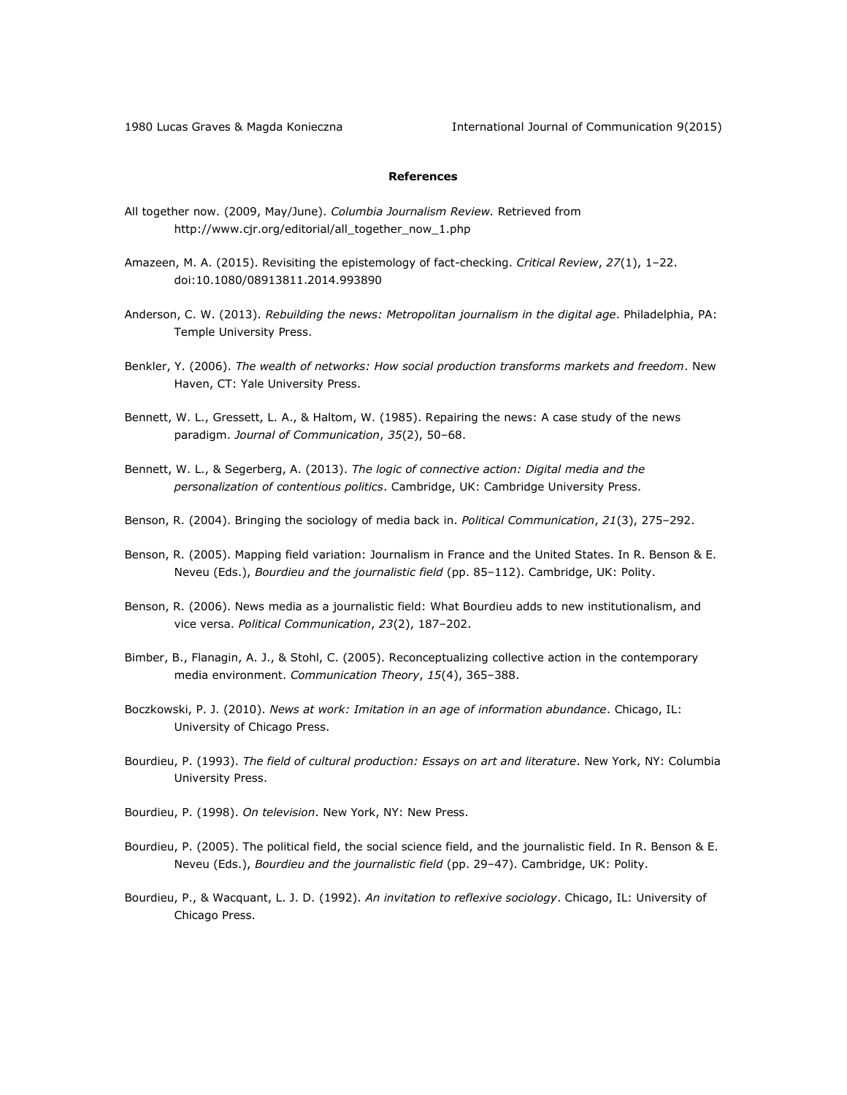1980 Lucas Graves & Magda Konieczna International Journal of Communication 9(2015)

## **References**

- All together now. (2009, May/June). *Columbia Journalism Review.* Retrieved from [http://www.cjr.org/editorial/all\\_together\\_now\\_1.php](http://www.cjr.org/editorial/all_together_now_1.php)
- Amazeen, M. A. (2015). Revisiting the epistemology of fact-checking. *Critical Review*, *27*(1), 1–22. doi:10.1080/08913811.2014.993890
- Anderson, C. W. (2013). *Rebuilding the news: Metropolitan journalism in the digital age*. Philadelphia, PA: Temple University Press.
- Benkler, Y. (2006). *The wealth of networks: How social production transforms markets and freedom*. New Haven, CT: Yale University Press.
- Bennett, W. L., Gressett, L. A., & Haltom, W. (1985). Repairing the news: A case study of the news paradigm. *Journal of Communication*, *35*(2), 50–68.
- Bennett, W. L., & Segerberg, A. (2013). *The logic of connective action: Digital media and the personalization of contentious politics*. Cambridge, UK: Cambridge University Press.
- Benson, R. (2004). Bringing the sociology of media back in. *Political Communication*, *21*(3), 275–292.
- Benson, R. (2005). Mapping field variation: Journalism in France and the United States. In R. Benson & E. Neveu (Eds.), *Bourdieu and the journalistic field* (pp. 85–112). Cambridge, UK: Polity.
- Benson, R. (2006). News media as a journalistic field: What Bourdieu adds to new institutionalism, and vice versa. *Political Communication*, *23*(2), 187–202.
- Bimber, B., Flanagin, A. J., & Stohl, C. (2005). Reconceptualizing collective action in the contemporary media environment. *Communication Theory*, *15*(4), 365–388.
- Boczkowski, P. J. (2010). *News at work: Imitation in an age of information abundance*. Chicago, IL: University of Chicago Press.
- Bourdieu, P. (1993). *The field of cultural production: Essays on art and literature*. New York, NY: Columbia University Press.
- Bourdieu, P. (1998). *On television*. New York, NY: New Press.
- Bourdieu, P. (2005). The political field, the social science field, and the journalistic field. In R. Benson & E. Neveu (Eds.), *Bourdieu and the journalistic field* (pp. 29–47). Cambridge, UK: Polity.
- Bourdieu, P., & Wacquant, L. J. D. (1992). *An invitation to reflexive sociology*. Chicago, IL: University of Chicago Press.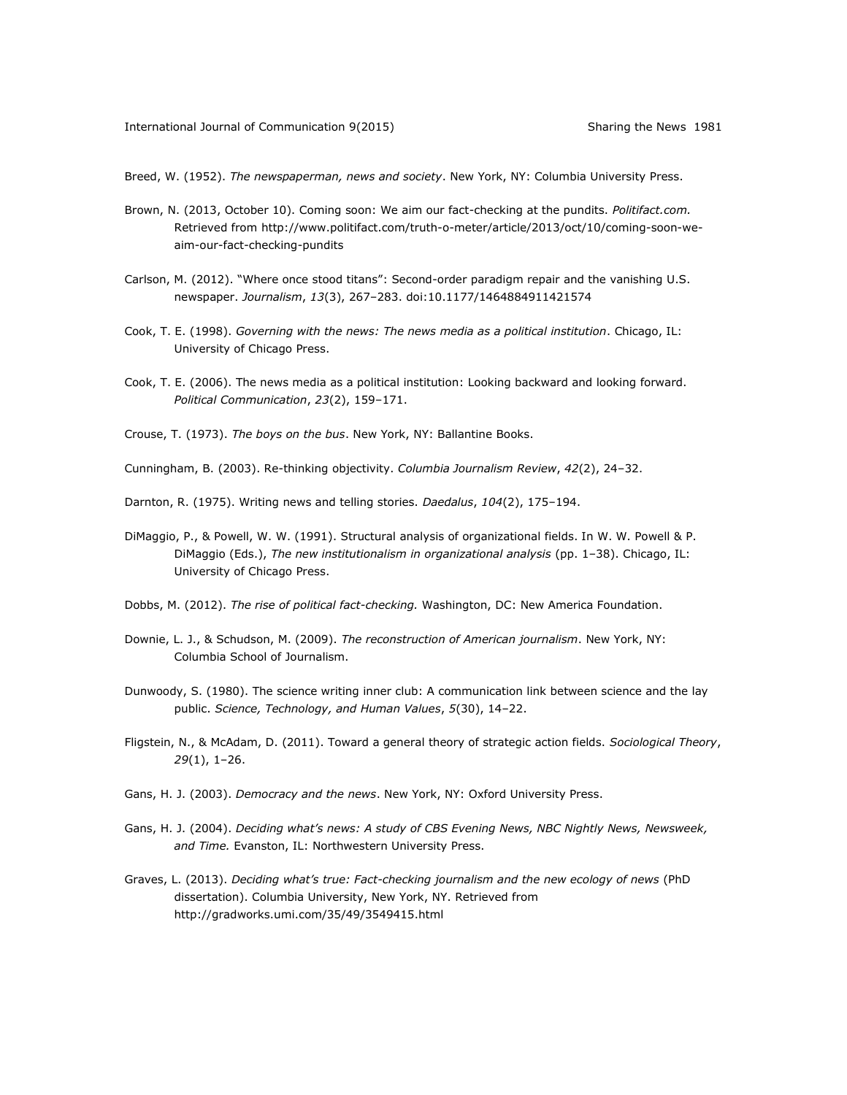Breed, W. (1952). *The newspaperman, news and society*. New York, NY: Columbia University Press.

- Brown, N. (2013, October 10). Coming soon: We aim our fact-checking at the pundits. *Politifact.com.*  Retrieved from [http://www.politifact.com/truth-o-meter/article/2013/oct/10/coming-soon-we](http://www.politifact.com/truth-o-meter/article/2013/oct/10/coming-soon-we-aim-our-fact-checking-pundits)[aim-our-fact-checking-pundits](http://www.politifact.com/truth-o-meter/article/2013/oct/10/coming-soon-we-aim-our-fact-checking-pundits)
- Carlson, M. (2012). "Where once stood titans": Second-order paradigm repair and the vanishing U.S. newspaper. *Journalism*, *13*(3), 267–283. doi:10.1177/1464884911421574
- Cook, T. E. (1998). *Governing with the news: The news media as a political institution*. Chicago, IL: University of Chicago Press.
- Cook, T. E. (2006). The news media as a political institution: Looking backward and looking forward. *Political Communication*, *23*(2), 159–171.
- Crouse, T. (1973). *The boys on the bus*. New York, NY: Ballantine Books.
- Cunningham, B. (2003). Re-thinking objectivity. *Columbia Journalism Review*, *42*(2), 24–32.
- Darnton, R. (1975). Writing news and telling stories. *Daedalus*, *104*(2), 175–194.
- DiMaggio, P., & Powell, W. W. (1991). Structural analysis of organizational fields. In W. W. Powell & P. DiMaggio (Eds.), *The new institutionalism in organizational analysis* (pp. 1–38). Chicago, IL: University of Chicago Press.
- Dobbs, M. (2012). *The rise of political fact-checking.* Washington, DC: New America Foundation.
- Downie, L. J., & Schudson, M. (2009). *The reconstruction of American journalism*. New York, NY: Columbia School of Journalism.
- Dunwoody, S. (1980). The science writing inner club: A communication link between science and the lay public. *Science, Technology, and Human Values*, *5*(30), 14–22.
- Fligstein, N., & McAdam, D. (2011). Toward a general theory of strategic action fields. *Sociological Theory*, *29*(1), 1–26.
- Gans, H. J. (2003). *Democracy and the news*. New York, NY: Oxford University Press.
- Gans, H. J. (2004). *Deciding what's news: A study of CBS Evening News, NBC Nightly News, Newsweek, and Time.* Evanston, IL: Northwestern University Press.
- Graves, L. (2013). *Deciding what's true: Fact-checking journalism and the new ecology of news* (PhD dissertation). Columbia University, New York, NY. Retrieved from <http://gradworks.umi.com/35/49/3549415.html>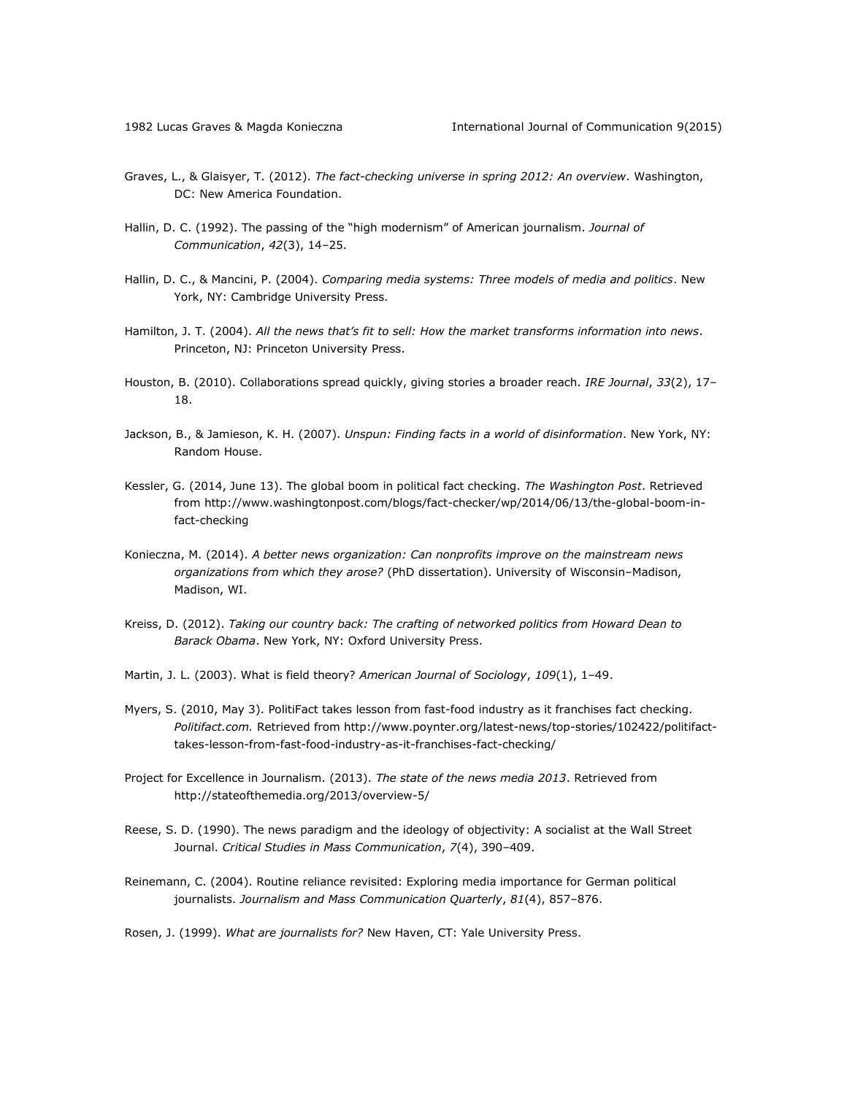- Graves, L., & Glaisyer, T. (2012). *The fact-checking universe in spring 2012: An overview*. Washington, DC: New America Foundation.
- Hallin, D. C. (1992). The passing of the "high modernism" of American journalism. *Journal of Communication*, *42*(3), 14–25.
- Hallin, D. C., & Mancini, P. (2004). *Comparing media systems: Three models of media and politics*. New York, NY: Cambridge University Press.
- Hamilton, J. T. (2004). *All the news that's fit to sell: How the market transforms information into news*. Princeton, NJ: Princeton University Press.
- Houston, B. (2010). Collaborations spread quickly, giving stories a broader reach. *IRE Journal*, *33*(2), 17– 18.
- Jackson, B., & Jamieson, K. H. (2007). *Unspun: Finding facts in a world of disinformation*. New York, NY: Random House.
- Kessler, G. (2014, June 13). The global boom in political fact checking. *The Washington Post*. Retrieved from [http://www.washingtonpost.com/blogs/fact-checker/wp/2014/06/13/the-global-boom-in](http://www.washingtonpost.com/blogs/fact-checker/wp/2014/06/13/the-global-boom-in-fact-checking)[fact-checking](http://www.washingtonpost.com/blogs/fact-checker/wp/2014/06/13/the-global-boom-in-fact-checking)
- Konieczna, M. (2014). *A better news organization: Can nonprofits improve on the mainstream news organizations from which they arose?* (PhD dissertation). University of Wisconsin–Madison, Madison, WI.
- Kreiss, D. (2012). *Taking our country back: The crafting of networked politics from Howard Dean to Barack Obama*. New York, NY: Oxford University Press.
- Martin, J. L. (2003). What is field theory? *American Journal of Sociology*, *109*(1), 1–49.
- Myers, S. (2010, May 3). PolitiFact takes lesson from fast-food industry as it franchises fact checking. *Politifact.com.* Retrieved fro[m http://www.poynter.org/latest-news/top-stories/102422/politifact](http://www.poynter.org/latest-news/top-stories/102422/politifact-takes-lesson-from-fast-food-industry-as-it-franchises-fact-checking/)[takes-lesson-from-fast-food-industry-as-it-franchises-fact-checking/](http://www.poynter.org/latest-news/top-stories/102422/politifact-takes-lesson-from-fast-food-industry-as-it-franchises-fact-checking/)
- Project for Excellence in Journalism. (2013). *The state of the news media 2013*. Retrieved from <http://stateofthemedia.org/2013/overview-5/>
- Reese, S. D. (1990). The news paradigm and the ideology of objectivity: A socialist at the Wall Street Journal. *Critical Studies in Mass Communication*, *7*(4), 390–409.
- Reinemann, C. (2004). Routine reliance revisited: Exploring media importance for German political journalists. *Journalism and Mass Communication Quarterly*, *81*(4), 857–876.

Rosen, J. (1999). *What are journalists for?* New Haven, CT: Yale University Press.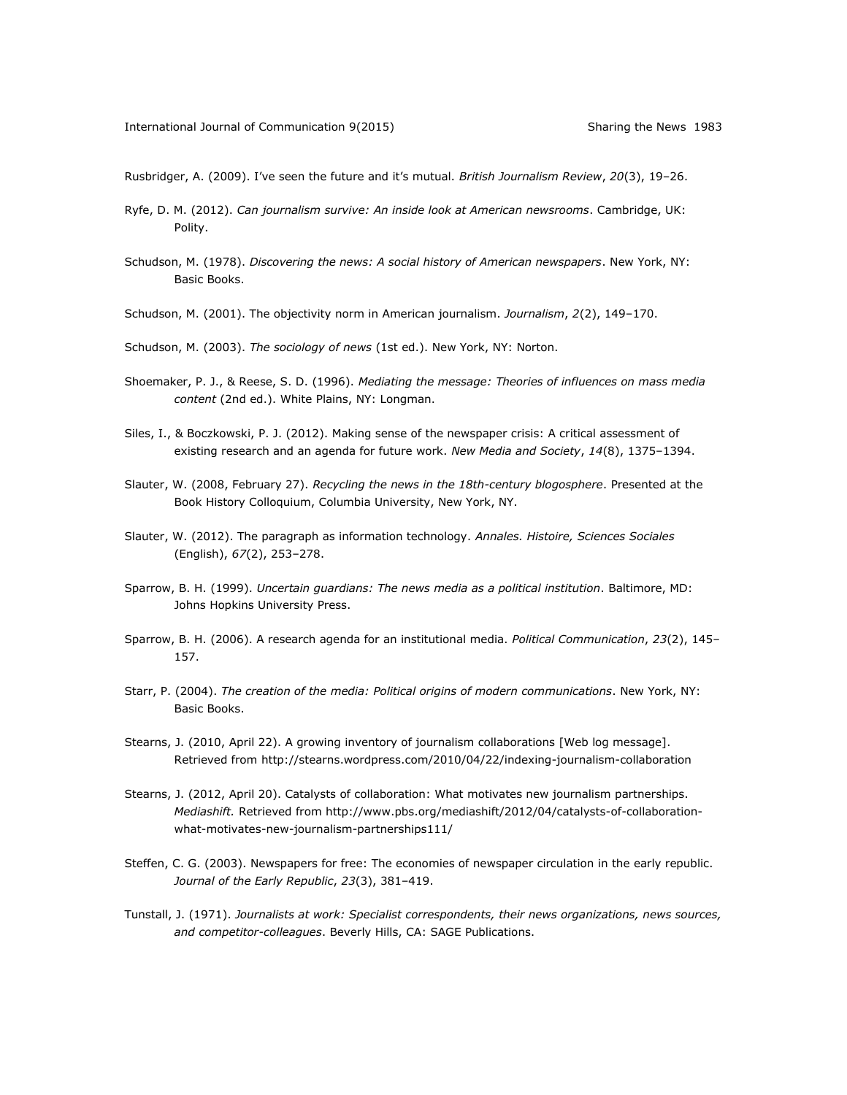Rusbridger, A. (2009). I've seen the future and it's mutual. *British Journalism Review*, *20*(3), 19–26.

- Ryfe, D. M. (2012). *Can journalism survive: An inside look at American newsrooms*. Cambridge, UK: Polity.
- Schudson, M. (1978). *Discovering the news: A social history of American newspapers*. New York, NY: Basic Books.
- Schudson, M. (2001). The objectivity norm in American journalism. *Journalism*, *2*(2), 149–170.

Schudson, M. (2003). *The sociology of news* (1st ed.). New York, NY: Norton.

- Shoemaker, P. J., & Reese, S. D. (1996). *Mediating the message: Theories of influences on mass media content* (2nd ed.). White Plains, NY: Longman.
- Siles, I., & Boczkowski, P. J. (2012). Making sense of the newspaper crisis: A critical assessment of existing research and an agenda for future work. *New Media and Society*, *14*(8), 1375–1394.
- Slauter, W. (2008, February 27). *Recycling the news in the 18th-century blogosphere*. Presented at the Book History Colloquium, Columbia University, New York, NY.
- Slauter, W. (2012). The paragraph as information technology. *Annales. Histoire, Sciences Sociales* (English), *67*(2), 253–278.
- Sparrow, B. H. (1999). *Uncertain guardians: The news media as a political institution*. Baltimore, MD: Johns Hopkins University Press.
- Sparrow, B. H. (2006). A research agenda for an institutional media. *Political Communication*, *23*(2), 145– 157.
- Starr, P. (2004). *The creation of the media: Political origins of modern communications*. New York, NY: Basic Books.
- Stearns, J. (2010, April 22). A growing inventory of journalism collaborations [Web log message]. Retrieved from<http://stearns.wordpress.com/2010/04/22/indexing-journalism-collaboration>
- Stearns, J. (2012, April 20). Catalysts of collaboration: What motivates new journalism partnerships. *Mediashift.* Retrieved from [http://www.pbs.org/mediashift/2012/04/catalysts-of-collaboration](http://www.pbs.org/mediashift/2012/04/catalysts-of-collaboration-what-motivates-new-journalism-partnerships111/)[what-motivates-new-journalism-partnerships111/](http://www.pbs.org/mediashift/2012/04/catalysts-of-collaboration-what-motivates-new-journalism-partnerships111/)
- Steffen, C. G. (2003). Newspapers for free: The economies of newspaper circulation in the early republic. *Journal of the Early Republic*, *23*(3), 381–419.
- Tunstall, J. (1971). *Journalists at work: Specialist correspondents, their news organizations, news sources, and competitor-colleagues*. Beverly Hills, CA: SAGE Publications.